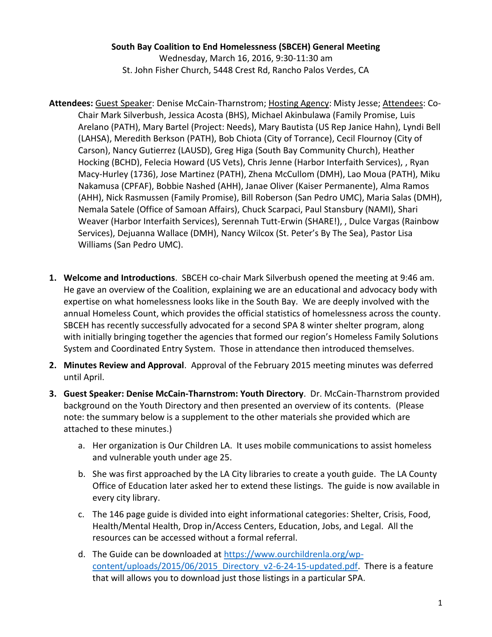**South Bay Coalition to End Homelessness (SBCEH) General Meeting**

Wednesday, March 16, 2016, 9:30-11:30 am St. John Fisher Church, 5448 Crest Rd, Rancho Palos Verdes, CA

- **Attendees:** Guest Speaker: Denise McCain-Tharnstrom; Hosting Agency: Misty Jesse; Attendees: Co-Chair Mark Silverbush, Jessica Acosta (BHS), Michael Akinbulawa (Family Promise, Luis Arelano (PATH), Mary Bartel (Project: Needs), Mary Bautista (US Rep Janice Hahn), Lyndi Bell (LAHSA), Meredith Berkson (PATH), Bob Chiota (City of Torrance), Cecil Flournoy (City of Carson), Nancy Gutierrez (LAUSD), Greg Higa (South Bay Community Church), Heather Hocking (BCHD), Felecia Howard (US Vets), Chris Jenne (Harbor Interfaith Services), , Ryan Macy-Hurley (1736), Jose Martinez (PATH), Zhena McCullom (DMH), Lao Moua (PATH), Miku Nakamusa (CPFAF), Bobbie Nashed (AHH), Janae Oliver (Kaiser Permanente), Alma Ramos (AHH), Nick Rasmussen (Family Promise), Bill Roberson (San Pedro UMC), Maria Salas (DMH), Nemala Satele (Office of Samoan Affairs), Chuck Scarpaci, Paul Stansbury (NAMI), Shari Weaver (Harbor Interfaith Services), Serennah Tutt-Erwin (SHARE!), , Dulce Vargas (Rainbow Services), Dejuanna Wallace (DMH), Nancy Wilcox (St. Peter's By The Sea), Pastor Lisa Williams (San Pedro UMC).
- **1. Welcome and Introductions**. SBCEH co-chair Mark Silverbush opened the meeting at 9:46 am. He gave an overview of the Coalition, explaining we are an educational and advocacy body with expertise on what homelessness looks like in the South Bay. We are deeply involved with the annual Homeless Count, which provides the official statistics of homelessness across the county. SBCEH has recently successfully advocated for a second SPA 8 winter shelter program, along with initially bringing together the agencies that formed our region's Homeless Family Solutions System and Coordinated Entry System. Those in attendance then introduced themselves.
- **2. Minutes Review and Approval**. Approval of the February 2015 meeting minutes was deferred until April.
- **3. Guest Speaker: Denise McCain-Tharnstrom: Youth Directory**. Dr. McCain-Tharnstrom provided background on the Youth Directory and then presented an overview of its contents. (Please note: the summary below is a supplement to the other materials she provided which are attached to these minutes.)
	- a. Her organization is Our Children LA. It uses mobile communications to assist homeless and vulnerable youth under age 25.
	- b. She was first approached by the LA City libraries to create a youth guide. The LA County Office of Education later asked her to extend these listings. The guide is now available in every city library.
	- c. The 146 page guide is divided into eight informational categories: Shelter, Crisis, Food, Health/Mental Health, Drop in/Access Centers, Education, Jobs, and Legal. All the resources can be accessed without a formal referral.
	- d. The Guide can be downloaded at [https://www.ourchildrenla.org/wp](https://www.ourchildrenla.org/wp-content/uploads/2015/06/2015_Directory_v2-6-24-15-updated.pdf)[content/uploads/2015/06/2015\\_Directory\\_v2-6-24-15-updated.pdf.](https://www.ourchildrenla.org/wp-content/uploads/2015/06/2015_Directory_v2-6-24-15-updated.pdf) There is a feature that will allows you to download just those listings in a particular SPA.